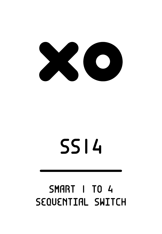

# **SSI4**

### **SMART I TO 4** SEQUENTIAL SWITCH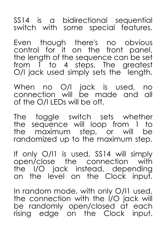SS14 is a bidirectional sequential switch with some special features.

Even though there's no obvious control for it on the front panel, the length of the sequence can be set from 1 to 4 steps. The greatest O/I jack used simply sets the length.

When no O/I jack is used, no connection will be made and all of the O/I LEDs will be off.

The toggle switch sets whether the sequence will loop from 1 to the maximum step, or will be randomized up to the maximum step.

If only O/I1 is used, SS14 will simply open/close the connection with the I/O jack instead, depending on the level on the Clock input.

In random mode, with only O/I1 used, the connection with the I/O jack will be randomly open/closed at each rising edge on the Clock input.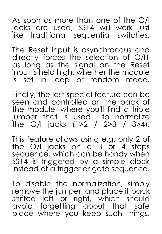As soon as more than one of the O/I jacks are used, SS14 will work just like traditional sequential switches.

The Reset input is asynchronous and directly forces the selection of O/I1 as long as the signal on the Reset input is held high, whether the module is set in loop or random mode.

Finally, the last special feature can be seen and controlled on the back of the module, where you'll find a triple jumper that is used to normalize the O/I jacks (1>2 / 2>3 / 3>4).

This feature allows using e.g. only 2 of the O/I jacks on a<sup>3</sup> or 4 steps sequence, which can be handy when SS14 is triggered by a simple clock instead of a trigger or gate sequence.

To disable the normalization, simply remove the jumper, and place it back shifted left or right, which should avoid forgetting about that safe place where you keep such things.